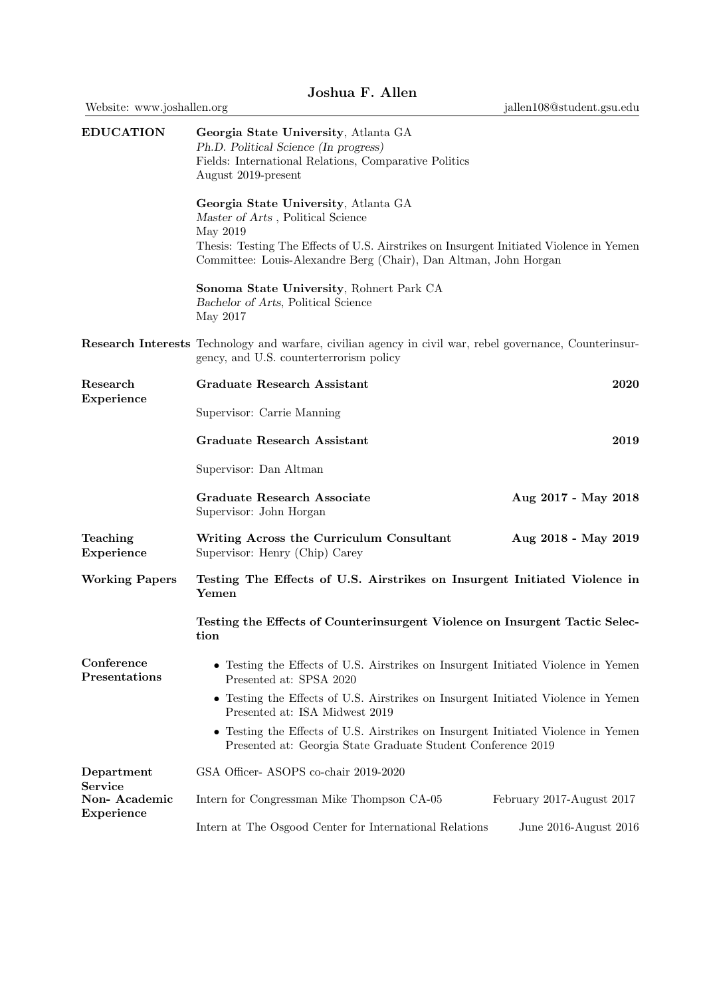| <b>EDUCATION</b>                             | Georgia State University, Atlanta GA<br>Ph.D. Political Science (In progress)<br>Fields: International Relations, Comparative Politics<br>August 2019-present<br>Georgia State University, Atlanta GA<br>Master of Arts, Political Science<br>May 2019<br>Thesis: Testing The Effects of U.S. Airstrikes on Insurgent Initiated Violence in Yemen<br>Committee: Louis-Alexandre Berg (Chair), Dan Altman, John Horgan |                           |
|----------------------------------------------|-----------------------------------------------------------------------------------------------------------------------------------------------------------------------------------------------------------------------------------------------------------------------------------------------------------------------------------------------------------------------------------------------------------------------|---------------------------|
|                                              |                                                                                                                                                                                                                                                                                                                                                                                                                       |                           |
|                                              | Sonoma State University, Rohnert Park CA<br>Bachelor of Arts, Political Science<br>May 2017                                                                                                                                                                                                                                                                                                                           |                           |
|                                              | <b>Research Interests</b> Technology and warfare, civilian agency in civil war, rebel governance, Counterinsur-<br>gency, and U.S. counterterrorism policy                                                                                                                                                                                                                                                            |                           |
| Research<br>Experience                       | <b>Graduate Research Assistant</b>                                                                                                                                                                                                                                                                                                                                                                                    | 2020                      |
|                                              | Supervisor: Carrie Manning                                                                                                                                                                                                                                                                                                                                                                                            |                           |
|                                              | <b>Graduate Research Assistant</b>                                                                                                                                                                                                                                                                                                                                                                                    | 2019                      |
|                                              | Supervisor: Dan Altman                                                                                                                                                                                                                                                                                                                                                                                                |                           |
|                                              | Graduate Research Associate<br>Supervisor: John Horgan                                                                                                                                                                                                                                                                                                                                                                | Aug 2017 - May 2018       |
| Teaching<br>Experience                       | Writing Across the Curriculum Consultant<br>Supervisor: Henry (Chip) Carey                                                                                                                                                                                                                                                                                                                                            | Aug 2018 - May 2019       |
| <b>Working Papers</b>                        | Testing The Effects of U.S. Airstrikes on Insurgent Initiated Violence in<br>Yemen                                                                                                                                                                                                                                                                                                                                    |                           |
|                                              | Testing the Effects of Counterinsurgent Violence on Insurgent Tactic Selec-<br>tion                                                                                                                                                                                                                                                                                                                                   |                           |
| Conference<br>Presentations                  | • Testing the Effects of U.S. Airstrikes on Insurgent Initiated Violence in Yemen<br>Presented at: SPSA 2020                                                                                                                                                                                                                                                                                                          |                           |
|                                              | • Testing the Effects of U.S. Airstrikes on Insurgent Initiated Violence in Yemen<br>Presented at: ISA Midwest 2019                                                                                                                                                                                                                                                                                                   |                           |
|                                              | • Testing the Effects of U.S. Airstrikes on Insurgent Initiated Violence in Yemen<br>Presented at: Georgia State Graduate Student Conference 2019                                                                                                                                                                                                                                                                     |                           |
| Department                                   | GSA Officer- ASOPS co-chair 2019-2020                                                                                                                                                                                                                                                                                                                                                                                 |                           |
| Service<br>Non-Academic<br><b>Experience</b> | Intern for Congressman Mike Thompson CA-05                                                                                                                                                                                                                                                                                                                                                                            | February 2017-August 2017 |
|                                              | Intern at The Osgood Center for International Relations                                                                                                                                                                                                                                                                                                                                                               | June 2016-August 2016     |